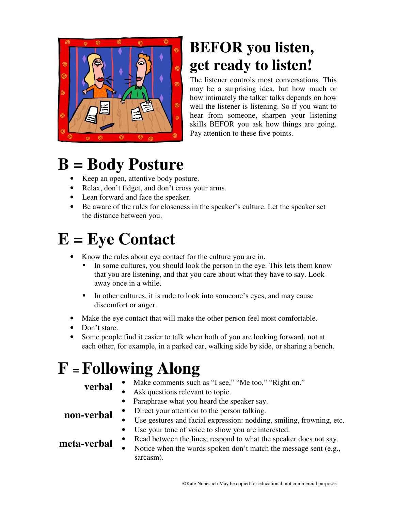

### **BEFOR you listen, get ready to listen!**

The listener controls most conversations. This may be a surprising idea, but how much or how intimately the talker talks depends on how well the listener is listening. So if you want to hear from someone, sharpen your listening skills BEFOR you ask how things are going. Pay attention to these five points.

## **B = Body Posture**

- Keep an open, attentive body posture.
- Relax, don't fidget, and don't cross your arms.
- Lean forward and face the speaker.
- Be aware of the rules for closeness in the speaker's culture. Let the speaker set the distance between you.

# **E = Eye Contact**

- Know the rules about eye contact for the culture you are in.
	- In some cultures, you should look the person in the eye. This lets them know that you are listening, and that you care about what they have to say. Look away once in a while.
	- In other cultures, it is rude to look into someone's eyes, and may cause discomfort or anger.
- Make the eye contact that will make the other person feel most comfortable.
- Don't stare.
- Some people find it easier to talk when both of you are looking forward, not at each other, for example, in a parked car, walking side by side, or sharing a bench.

# **F <sup>=</sup>Following Along**

- **verbal** Make comments such as "I see," "Me too," "Right on."
	- Ask questions relevant to topic.
	- Paraphrase what you heard the speaker say.
- **non-verbal** Direct your attention to the person talking.

- Use gestures and facial expression: nodding, smiling, frowning, etc.
- Use your tone of voice to show you are interested.

- **meta-verbal** Read between the lines; respond to what the speaker does not say.
	- Notice when the words spoken don't match the message sent (e.g., sarcasm).